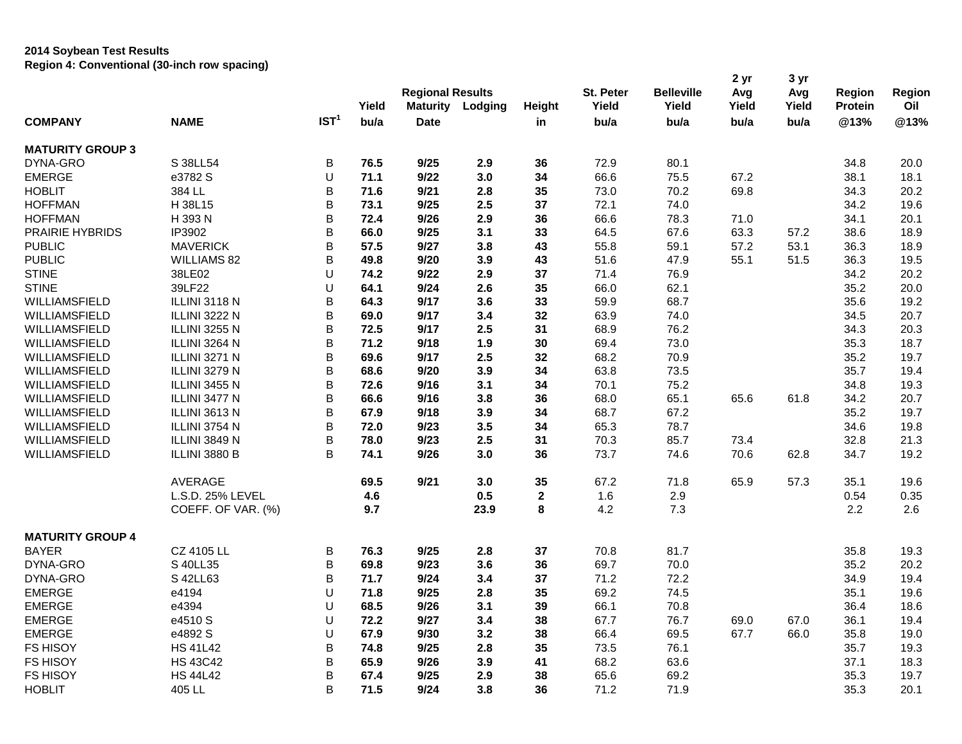## **2014 Soybean Test Results Region 4: Conventional (30-inch row spacing)**

|                         |                      |                  | Yield | <b>Regional Results</b><br>Maturity | Lodging | Height       | St. Peter<br>Yield | <b>Belleville</b><br>Yield | 2 yr<br>Avg<br>Yield | 3 yr<br>Avg<br>Yield | <b>Region</b><br><b>Protein</b> | Region<br>Oil |
|-------------------------|----------------------|------------------|-------|-------------------------------------|---------|--------------|--------------------|----------------------------|----------------------|----------------------|---------------------------------|---------------|
| <b>COMPANY</b>          | <b>NAME</b>          | IST <sup>1</sup> | bu/a  | <b>Date</b>                         |         | in           | bu/a               | bu/a                       | bu/a                 | bu/a                 | @13%                            | @13%          |
| <b>MATURITY GROUP 3</b> |                      |                  |       |                                     |         |              |                    |                            |                      |                      |                                 |               |
| DYNA-GRO                | S 38LL54             | B                | 76.5  | 9/25                                | 2.9     | 36           | 72.9               | 80.1                       |                      |                      | 34.8                            | 20.0          |
| <b>EMERGE</b>           | e3782 S              | U                | 71.1  | 9/22                                | 3.0     | 34           | 66.6               | 75.5                       | 67.2                 |                      | 38.1                            | 18.1          |
| <b>HOBLIT</b>           | 384 LL               | B                | 71.6  | 9/21                                | 2.8     | 35           | 73.0               | 70.2                       | 69.8                 |                      | 34.3                            | 20.2          |
| <b>HOFFMAN</b>          | H 38L15              | B                | 73.1  | 9/25                                | 2.5     | 37           | 72.1               | 74.0                       |                      |                      | 34.2                            | 19.6          |
| <b>HOFFMAN</b>          | H 393 N              | B                | 72.4  | 9/26                                | 2.9     | 36           | 66.6               | 78.3                       | 71.0                 |                      | 34.1                            | 20.1          |
| PRAIRIE HYBRIDS         | IP3902               | B                | 66.0  | 9/25                                | 3.1     | 33           | 64.5               | 67.6                       | 63.3                 | 57.2                 | 38.6                            | 18.9          |
| <b>PUBLIC</b>           | <b>MAVERICK</b>      | B                | 57.5  | 9/27                                | 3.8     | 43           | 55.8               | 59.1                       | 57.2                 | 53.1                 | 36.3                            | 18.9          |
| <b>PUBLIC</b>           | <b>WILLIAMS 82</b>   | B                | 49.8  | 9/20                                | 3.9     | 43           | 51.6               | 47.9                       | 55.1                 | 51.5                 | 36.3                            | 19.5          |
| <b>STINE</b>            | 38LE02               | U                | 74.2  | 9/22                                | 2.9     | 37           | 71.4               | 76.9                       |                      |                      | 34.2                            | 20.2          |
| <b>STINE</b>            | 39LF22               | U                | 64.1  | 9/24                                | 2.6     | 35           | 66.0               | 62.1                       |                      |                      | 35.2                            | 20.0          |
| WILLIAMSFIELD           | ILLINI 3118 N        | B                | 64.3  | 9/17                                | 3.6     | 33           | 59.9               | 68.7                       |                      |                      | 35.6                            | 19.2          |
| WILLIAMSFIELD           | <b>ILLINI 3222 N</b> | B                | 69.0  | 9/17                                | 3.4     | 32           | 63.9               | 74.0                       |                      |                      | 34.5                            | 20.7          |
| WILLIAMSFIELD           | <b>ILLINI 3255 N</b> | B                | 72.5  | 9/17                                | 2.5     | 31           | 68.9               | 76.2                       |                      |                      | 34.3                            | 20.3          |
| WILLIAMSFIELD           | ILLINI 3264 N        | B                | 71.2  | 9/18                                | 1.9     | 30           | 69.4               | 73.0                       |                      |                      | 35.3                            | 18.7          |
| WILLIAMSFIELD           | ILLINI 3271 N        | B                | 69.6  | 9/17                                | 2.5     | 32           | 68.2               | 70.9                       |                      |                      | 35.2                            | 19.7          |
| WILLIAMSFIELD           | <b>ILLINI 3279 N</b> | B                | 68.6  | 9/20                                | 3.9     | 34           | 63.8               | 73.5                       |                      |                      | 35.7                            | 19.4          |
| WILLIAMSFIELD           | <b>ILLINI 3455 N</b> | B                | 72.6  | 9/16                                | 3.1     | 34           | 70.1               | 75.2                       |                      |                      | 34.8                            | 19.3          |
| WILLIAMSFIELD           | ILLINI 3477 N        | B                | 66.6  | 9/16                                | 3.8     | 36           | 68.0               | 65.1                       | 65.6                 | 61.8                 | 34.2                            | 20.7          |
| WILLIAMSFIELD           | ILLINI 3613 N        | B                | 67.9  | 9/18                                | 3.9     | 34           | 68.7               | 67.2                       |                      |                      | 35.2                            | 19.7          |
| WILLIAMSFIELD           | ILLINI 3754 N        | B                | 72.0  | 9/23                                | 3.5     | 34           | 65.3               | 78.7                       |                      |                      | 34.6                            | 19.8          |
| WILLIAMSFIELD           | ILLINI 3849 N        | B                | 78.0  | 9/23                                | 2.5     | 31           | 70.3               | 85.7                       | 73.4                 |                      | 32.8                            | 21.3          |
| WILLIAMSFIELD           | ILLINI 3880 B        | B                | 74.1  | 9/26                                | 3.0     | 36           | 73.7               | 74.6                       | 70.6                 | 62.8                 | 34.7                            | 19.2          |
|                         | AVERAGE              |                  | 69.5  | 9/21                                | 3.0     | 35           | 67.2               | 71.8                       | 65.9                 | 57.3                 | 35.1                            | 19.6          |
|                         | L.S.D. 25% LEVEL     |                  | 4.6   |                                     | 0.5     | $\mathbf{2}$ | 1.6                | 2.9                        |                      |                      | 0.54                            | 0.35          |
|                         | COEFF. OF VAR. (%)   |                  | 9.7   |                                     | 23.9    | 8            | 4.2                | 7.3                        |                      |                      | 2.2                             | 2.6           |
| <b>MATURITY GROUP 4</b> |                      |                  |       |                                     |         |              |                    |                            |                      |                      |                                 |               |
| <b>BAYER</b>            | CZ 4105 LL           | B                | 76.3  | 9/25                                | 2.8     | 37           | 70.8               | 81.7                       |                      |                      | 35.8                            | 19.3          |
| DYNA-GRO                | S 40LL35             | B                | 69.8  | 9/23                                | 3.6     | 36           | 69.7               | 70.0                       |                      |                      | 35.2                            | 20.2          |
| DYNA-GRO                | S 42LL63             | B                | 71.7  | 9/24                                | 3.4     | 37           | 71.2               | 72.2                       |                      |                      | 34.9                            | 19.4          |
| <b>EMERGE</b>           | e4194                | U                | 71.8  | 9/25                                | 2.8     | 35           | 69.2               | 74.5                       |                      |                      | 35.1                            | 19.6          |
| <b>EMERGE</b>           | e4394                | U                | 68.5  | 9/26                                | 3.1     | 39           | 66.1               | 70.8                       |                      |                      | 36.4                            | 18.6          |
| <b>EMERGE</b>           | e4510 S              | U                | 72.2  | 9/27                                | 3.4     | 38           | 67.7               | 76.7                       | 69.0                 | 67.0                 | 36.1                            | 19.4          |
| <b>EMERGE</b>           | e4892 S              | U                | 67.9  | 9/30                                | 3.2     | 38           | 66.4               | 69.5                       | 67.7                 | 66.0                 | 35.8                            | 19.0          |
| <b>FS HISOY</b>         | <b>HS 41L42</b>      | B                | 74.8  | 9/25                                | 2.8     | 35           | 73.5               | 76.1                       |                      |                      | 35.7                            | 19.3          |
| <b>FS HISOY</b>         | <b>HS 43C42</b>      | B                | 65.9  | 9/26                                | 3.9     | 41           | 68.2               | 63.6                       |                      |                      | 37.1                            | 18.3          |
| <b>FS HISOY</b>         | <b>HS 44L42</b>      | B                | 67.4  | 9/25                                | 2.9     | 38           | 65.6               | 69.2                       |                      |                      | 35.3                            | 19.7          |
| <b>HOBLIT</b>           | 405 LL               | B                | 71.5  | 9/24                                | 3.8     | 36           | 71.2               | 71.9                       |                      |                      | 35.3                            | 20.1          |